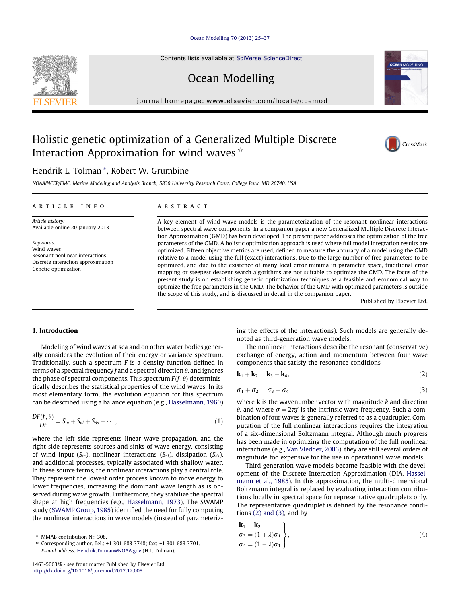### [Ocean Modelling 70 \(2013\) 25–37](http://dx.doi.org/10.1016/j.ocemod.2012.12.008)

Contents lists available at [SciVerse ScienceDirect](http://www.sciencedirect.com/science/journal/14635003)

# Ocean Modelling

journal homepage: [www.elsevier.com/locate/ocemod](http://www.elsevier.com/locate/ocemod)

## Holistic genetic optimization of a Generalized Multiple Discrete Interaction Approximation for wind waves  $\dot{\mathbf{x}}$

## Hendrik L. Tolman \*, Robert W. Grumbine

NOAA/NCEP/EMC, Marine Modeling and Analysis Branch, 5830 University Research Court, College Park, MD 20740, USA

#### article info

Article history: Available online 20 January 2013

Keywords: Wind waves Resonant nonlinear interactions Discrete interaction approximation Genetic optimization

### ABSTRACT

A key element of wind wave models is the parameterization of the resonant nonlinear interactions between spectral wave components. In a companion paper a new Generalized Multiple Discrete Interaction Approximation (GMD) has been developed. The present paper addresses the optimization of the free parameters of the GMD. A holistic optimization approach is used where full model integration results are optimized. Fifteen objective metrics are used, defined to measure the accuracy of a model using the GMD relative to a model using the full (exact) interactions. Due to the large number of free parameters to be optimized, and due to the existence of many local error minima in parameter space, traditional error mapping or steepest descent search algorithms are not suitable to optimize the GMD. The focus of the present study is on establishing genetic optimization techniques as a feasible and economical way to optimize the free parameters in the GMD. The behavior of the GMD with optimized parameters is outside the scope of this study, and is discussed in detail in the companion paper.

Published by Elsevier Ltd.

### 1. Introduction

Modeling of wind waves at sea and on other water bodies generally considers the evolution of their energy or variance spectrum. Traditionally, such a spectrum  $F$  is a density function defined in terms of a spectral frequency f and a spectral direction  $\theta$ , and ignores the phase of spectral components. This spectrum  $F(f, \theta)$  deterministically describes the statistical properties of the wind waves. In its most elementary form, the evolution equation for this spectrum can be described using a balance equation (e.g., [Hasselmann, 1960\)](#page-12-0)

$$
\frac{DF(f,\theta)}{Dt} = S_{in} + S_{nl} + S_{ds} + \cdots,
$$
\n(1)

where the left side represents linear wave propagation, and the right side represents sources and sinks of wave energy, consisting of wind input  $(S_{in})$ , nonlinear interactions  $(S_{nl})$ , dissipation  $(S_{ds})$ , and additional processes, typically associated with shallow water. In these source terms, the nonlinear interactions play a central role. They represent the lowest order process known to move energy to lower frequencies, increasing the dominant wave length as is observed during wave growth. Furthermore, they stabilize the spectral shape at high frequencies (e.g., [Hasselmann, 1973](#page-12-0)). The SWAMP study [\(SWAMP Group, 1985\)](#page-12-0) identified the need for fully computing the nonlinear interactions in wave models (instead of parameterizing the effects of the interactions). Such models are generally denoted as third-generation wave models.

The nonlinear interactions describe the resonant (conservative) exchange of energy, action and momentum between four wave components that satisfy the resonance conditions

$$
\mathbf{k}_1 + \mathbf{k}_2 = \mathbf{k}_3 + \mathbf{k}_4, \tag{2}
$$

$$
\sigma_1 + \sigma_2 = \sigma_3 + \sigma_4,\tag{3}
$$

where  $\bf{k}$  is the wavenumber vector with magnitude  $k$  and direction  $\theta$ , and where  $\sigma = 2\pi f$  is the intrinsic wave frequency. Such a combination of four waves is generally referred to as a quadruplet. Computation of the full nonlinear interactions requires the integration of a six-dimensional Boltzmann integral. Although much progress has been made in optimizing the computation of the full nonlinear interactions (e.g., [Van Vledder, 2006\)](#page-12-0), they are still several orders of magnitude too expensive for the use in operational wave models.

Third generation wave models became feasible with the development of the Discrete Interaction Approximation (DIA, [Hassel](#page-12-0)[mann et al., 1985\)](#page-12-0). In this approximation, the multi-dimensional Boltzmann integral is replaced by evaluating interaction contributions locally in spectral space for representative quadruplets only. The representative quadruplet is defined by the resonance conditions  $(2)$  and  $(3)$ , and by

$$
\begin{aligned}\n\mathbf{k}_1 &= \mathbf{k}_2 \\
\sigma_3 &= (1 + \lambda)\sigma_1 \\
\sigma_4 &= (1 - \lambda)\sigma_1\n\end{aligned}
$$
\n(4)

<span id="page-0-0"></span>



MMAB contribution Nr. 308.

<sup>⇑</sup> Corresponding author. Tel.: +1 301 683 3748; fax: +1 301 683 3701. E-mail address: [Hendrik.Tolman@NOAA.gov](mailto:Hendrik.Tolman@NOAA.gov) (H.L. Tolman).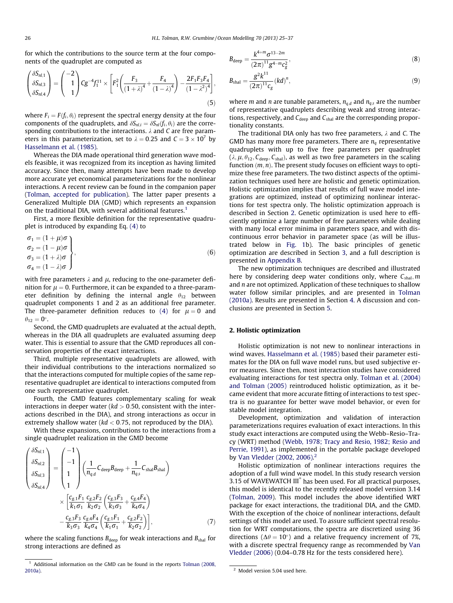for which the contributions to the source term at the four components of the quadruplet are computed as

$$
\begin{pmatrix} \delta S_{nl,1} \\ \delta S_{nl,3} \\ \delta S_{nl,4} \end{pmatrix} = \begin{pmatrix} -2 \\ 1 \\ 1 \end{pmatrix} C g^{-4} f_1^{11} \times \left[ F_1^2 \left( \frac{F_3}{(1+\lambda)^4} + \frac{F_4}{(1-\lambda)^4} \right) - \frac{2 F_1 F_3 F_4}{(1-\lambda^2)^4} \right],
$$
\n(5)

where  $F_i = F(f_i, \theta_i)$  represent the spectral energy density at the four components of the quadruplets, and  $\delta S_{nl,i} = \delta S_{nl}(f_i, \theta_i)$  are the corresponding contributions to the interactions.  $\lambda$  and C are free parameters in this parameterization, set to  $\lambda = 0.25$  and  $C = 3 \times 10^7$  by [Hasselmann et al. \(1985\).](#page-12-0)

Whereas the DIA made operational third generation wave models feasible, it was recognized from its inception as having limited accuracy. Since then, many attempts have been made to develop more accurate yet economical parameterizations for the nonlinear interactions. A recent review can be found in the companion paper ([Tolman, accepted for publication\)](#page-12-0). The latter paper presents a Generalized Multiple DIA (GMD) which represents an expansion on the traditional DIA, with several additional features.<sup>1</sup>

First, a more flexible definition for the representative quadruplet is introduced by expanding Eq. [\(4\)](#page-0-0) to

$$
\begin{aligned}\n\sigma_1 &= (1 + \mu)\sigma \\
\sigma_2 &= (1 - \mu)\sigma \\
\sigma_3 &= (1 + \lambda)\sigma \\
\sigma_4 &= (1 - \lambda)\sigma\n\end{aligned}
$$
\n(6)

with free parameters  $\lambda$  and  $\mu$ , reducing to the one-parameter definition for  $\mu = 0$ . Furthermore, it can be expanded to a three-parameter definition by defining the internal angle  $\theta_{12}$  between quadruplet components 1 and 2 as an additional free parameter. The three-parameter definition reduces to [\(4\)](#page-0-0) for  $\mu = 0$  and  $\theta_{12} = 0^\circ.$ 

Second, the GMD quadruplets are evaluated at the actual depth, whereas in the DIA all quadruplets are evaluated assuming deep water. This is essential to assure that the GMD reproduces all conservation properties of the exact interactions.

Third, multiple representative quadruplets are allowed, with their individual contributions to the interactions normalized so that the interactions computed for multiple copies of the same representative quadruplet are identical to interactions computed from one such representative quadruplet.

Fourth, the GMD features complementary scaling for weak interactions in deeper water ( $kd > 0.50$ , consistent with the interactions described in the DIA), and strong interactions as occur in extremely shallow water ( $kd < 0.75$ , not reproduced by the DIA).

With these expansions, contributions to the interactions from a single quadruplet realization in the GMD become

$$
\begin{pmatrix}\n\delta S_{nl,1} \\
\delta S_{nl,2} \\
\delta S_{nl,3} \\
\delta S_{nl,4}\n\end{pmatrix} = \begin{pmatrix}\n-1 \\
-1 \\
1 \\
1\n\end{pmatrix} \left(\frac{1}{n_{q,d}} C_{\text{deep}} B_{\text{deep}} + \frac{1}{n_{q,s}} C_{\text{sha}} B_{\text{sha}}\right) \\
\times \left[\frac{c_{g,1}F_1}{k_1 \sigma_1} \frac{c_{g,2}F_2}{k_2 \sigma_2} \left(\frac{c_{g,3}F_3}{k_3 \sigma_3} + \frac{c_{g,4}F_4}{k_4 \sigma_4}\right) \\
- \frac{c_{g,3}F_3}{k_3 \sigma_3} \frac{c_{g,4}F_4}{k_4 \sigma_4} \left(\frac{c_{g,1}F_1}{k_1 \sigma_1} + \frac{c_{g,2}F_2}{k_2 \sigma_2}\right)\right],
$$
\n(7)

where the scaling functions  $B_{\text{deep}}$  for weak interactions and  $B_{\text{shall}}$  for strong interactions are defined as

$$
B_{\text{deep}} = \frac{k^{4+m} \sigma^{13-2m}}{(2\pi)^{11} g^{4-m} c_g^2},\tag{8}
$$

$$
B_{\text{shal}} = \frac{g^2 k^{11}}{(2\pi)^{11} c_g} (kd)^n, \tag{9}
$$

where *m* and *n* are tunable parameters,  $n_{q,d}$  and  $n_{q,s}$  are the number of representative quadruplets describing weak and strong interactions, respectively, and  $C_{\text{deep}}$  and  $C_{\text{shall}}$  are the corresponding proportionality constants.

The traditional DIA only has two free parameters,  $\lambda$  and C. The GMD has many more free parameters. There are  $n_q$  representative quadruplets with up to five free parameters per quadruplet  $(\lambda, \mu, \theta_{12}, C_{\text{deep}}, C_{\text{shall}})$ , as well as two free parameters in the scaling function  $(m, n)$ . The present study focuses on efficient ways to optimize these free parameters. The two distinct aspects of the optimization techniques used here are holistic and genetic optimization. Holistic optimization implies that results of full wave model integrations are optimized, instead of optimizing nonlinear interactions for test spectra only. The holistic optimization approach is described in Section 2. Genetic optimization is used here to efficiently optimize a large number of free parameters while dealing with many local error minima in parameters space, and with discontinuous error behavior in parameter space (as will be illustrated below in [Fig. 1b](#page-2-0)). The basic principles of genetic optimization are described in Section [3,](#page-4-0) and a full description is presented in [Appendix B](#page-10-0).

The new optimization techniques are described and illustrated here by considering deep water conditions only, where  $C_{\text{shal}}$ , m and  $n$  are not optimized. Application of these techniques to shallow water follow similar principles, and are presented in [Tolman](#page-12-0) [\(2010a\).](#page-12-0) Results are presented in Section [4.](#page-6-0) A discussion and conclusions are presented in Section [5](#page-9-0).

### 2. Holistic optimization

Holistic optimization is not new to nonlinear interactions in wind waves. [Hasselmann et al. \(1985\)](#page-12-0) based their parameter estimates for the DIA on full wave model runs, but used subjective error measures. Since then, most interaction studies have considered evaluating interactions for test spectra only. [Tolman et al. \(2004\)](#page-12-0) [and Tolman \(2005\)](#page-12-0) reintroduced holistic optimization, as it became evident that more accurate fitting of interactions to test spectra is no guarantee for better wave model behavior, or even for stable model integration.

Development, optimization and validation of interaction parameterizations requires evaluation of exact interactions. In this study exact interactions are computed using the Webb–Resio–Tracy (WRT) method ([Webb, 1978; Tracy and Resio, 1982; Resio and](#page-12-0) [Perrie, 1991\)](#page-12-0), as implemented in the portable package developed by [Van Vledder \(2002, 2006\)](#page-12-0). 2

Holistic optimization of nonlinear interactions requires the adoption of a full wind wave model. In this study research version 3.15 of WAVEWATCH III® has been used. For all practical purposes, this model is identical to the recently released model version 3.14 ([Tolman, 2009](#page-12-0)). This model includes the above identified WRT package for exact interactions, the traditional DIA, and the GMD. With the exception of the choice of nonlinear interactions, default settings of this model are used. To assure sufficient spectral resolution for WRT computations, the spectra are discretized using 36 directions ( $\Delta \theta = 10^{\circ}$ ) and a relative frequency increment of 7%, with a discrete spectral frequency range as recommended by [Van](#page-12-0) [Vledder \(2006\)](#page-12-0) (0.04–0.78 Hz for the tests considered here).

 $1$  Additional information on the GMD can be found in the reports [Tolman \(2008,](#page-12-0) [2010a\)](#page-12-0). <sup>2</sup> Model version 5.04 used here.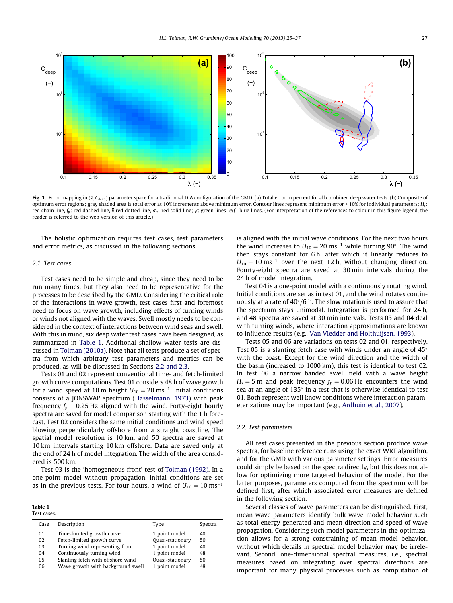<span id="page-2-0"></span>

Fig. 1. Error mapping in  $(\lambda, C_{\text{deep}})$  parameter space for a traditional DIA configuration of the GMD. (a) Total error in percent for all combined deep water tests. (b) Composite of optimum error regions; gray shaded area is total error at 10% increments above minimum error. Contour lines represent minimum error + 10% for individual parameters;  $H_s$ : red chain line,  $f_p$ : red dashed line,  $\bar{\theta}$  red dotted line,  $\sigma_{\theta}$ : red solid line;  $\beta$ : green lines;  $\theta(f)$  blue lines. (For interpretation of the references to colour in this figure legend, the reader is referred to the web version of this article.)

The holistic optimization requires test cases, test parameters and error metrics, as discussed in the following sections.

### 2.1. Test cases

Test cases need to be simple and cheap, since they need to be run many times, but they also need to be representative for the processes to be described by the GMD. Considering the critical role of the interactions in wave growth, test cases first and foremost need to focus on wave growth, including effects of turning winds or winds not aligned with the waves. Swell mostly needs to be considered in the context of interactions between wind seas and swell. With this in mind, six deep water test cases have been designed, as summarized in Table 1. Additional shallow water tests are discussed in [Tolman \(2010a\)](#page-12-0). Note that all tests produce a set of spectra from which arbitrary test parameters and metrics can be produced, as will be discussed in Sections 2.2 and 2.3.

Tests 01 and 02 represent conventional time- and fetch-limited growth curve computations. Test 01 considers 48 h of wave growth for a wind speed at 10 m height  $U_{10} = 20$  ms<sup>-1</sup>. Initial conditions consists of a JONSWAP spectrum ([Hasselmann, 1973](#page-12-0)) with peak frequency  $f_p = 0.25$  Hz aligned with the wind. Forty-eight hourly spectra are saved for model comparison starting with the 1 h forecast. Test 02 considers the same initial conditions and wind speed blowing perpendicularly offshore from a straight coastline. The spatial model resolution is 10 km, and 50 spectra are saved at 10 km intervals starting 10 km offshore. Data are saved only at the end of 24 h of model integration. The width of the area considered is 500 km.

Test 03 is the 'homogeneous front' test of [Tolman \(1992\).](#page-12-0) In a one-point model without propagation, initial conditions are set as in the previous tests. For four hours, a wind of  $U_{10} = 10 \text{ ms}^{-1}$ 

Table 1 Test cases.

| Case | Description                       | Type             | Spectra |
|------|-----------------------------------|------------------|---------|
| 01   | Time-limited growth curve         | 1 point model    | 48      |
| 02   | Fetch-limited growth curve        | Quasi-stationary | 50      |
| 03   | Turning wind representing front   | 1 point model    | 48      |
| 04   | Continuously turning wind         | 1 point model    | 48      |
| 05   | Slanting fetch with offshore wind | Quasi-stationary | 50      |
| 06   | Wave growth with background swell | 1 point model    | 48      |
|      |                                   |                  |         |

is aligned with the initial wave conditions. For the next two hours the wind increases to  $U_{10} = 20 \text{ ms}^{-1}$  while turning 90°. The wind then stays constant for 6 h, after which it linearly reduces to  $U_{10} = 10$  ms<sup>-1</sup> over the next 12 h, without changing direction. Fourty-eight spectra are saved at 30 min intervals during the 24 h of model integration.

Test 04 is a one-point model with a continuously rotating wind. Initial conditions are set as in test 01, and the wind rotates continuously at a rate of  $40^{\circ}/6$  h. The slow rotation is used to assure that the spectrum stays unimodal. Integration is performed for 24 h, and 48 spectra are saved at 30 min intervals. Tests 03 and 04 deal with turning winds, where interaction approximations are known to influence results (e.g., [Van Vledder and Holthuijsen, 1993\)](#page-12-0).

Tests 05 and 06 are variations on tests 02 and 01, respectively. Test 05 is a slanting fetch case with winds under an angle of  $45^{\circ}$ with the coast. Except for the wind direction and the width of the basin (increased to 1000 km), this test is identical to test 02. In test 06 a narrow banded swell field with a wave height  $H_s = 5$  m and peak frequency  $f_p = 0.06$  Hz encounters the wind sea at an angle of 135° in a test that is otherwise identical to test 01. Both represent well know conditions where interaction parameterizations may be important (e.g., [Ardhuin et al., 2007\)](#page-12-0).

### 2.2. Test parameters

All test cases presented in the previous section produce wave spectra, for baseline reference runs using the exact WRT algorithm, and for the GMD with various parameter settings. Error measures could simply be based on the spectra directly, but this does not allow for optimizing more targeted behavior of the model. For the latter purposes, parameters computed from the spectrum will be defined first, after which associated error measures are defined in the following section.

Several classes of wave parameters can be distinguished. First, mean wave parameters identify bulk wave model behavior such as total energy generated and mean direction and speed of wave propagation. Considering such model parameters in the optimization allows for a strong constraining of mean model behavior, without which details in spectral model behavior may be irrelevant. Second, one-dimensional spectral measures, i.e., spectral measures based on integrating over spectral directions are important for many physical processes such as computation of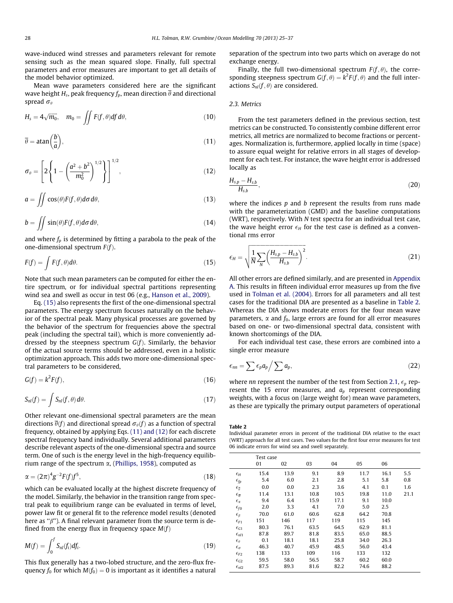<span id="page-3-0"></span>wave-induced wind stresses and parameters relevant for remote sensing such as the mean squared slope. Finally, full spectral parameters and error measures are important to get all details of the model behavior optimized.

Mean wave parameters considered here are the significant wave height  $H_s$ , peak frequency  $f_p$ , mean direction  $\overline{\theta}$  and directional spread  $\sigma_{\theta}$ 

$$
H_s = 4\sqrt{m_0}, \quad m_0 = \iint F(f, \theta) df d\theta, \tag{10}
$$

$$
\overline{\theta} = \text{atan}\left(\frac{b}{a}\right),\tag{11}
$$

$$
\sigma_{\theta} = \left[ 2 \left\{ 1 - \left( \frac{a^2 + b^2}{m_0^2} \right)^{1/2} \right\} \right]^{1/2}, \tag{12}
$$

$$
a = \iint \cos(\theta) F(f, \theta) d\sigma d\theta, \qquad (13)
$$

$$
b = \iint \sin(\theta) F(f, \theta) d\sigma d\theta, \qquad (14)
$$

and where  $f_p$  is determined by fitting a parabola to the peak of the one-dimensional spectrum  $F(f)$ .

$$
F(f) = \int F(f, \theta) d\theta.
$$
 (15)

Note that such mean parameters can be computed for either the entire spectrum, or for individual spectral partitions representing wind sea and swell as occur in test 06 (e.g., [Hanson et al., 2009\)](#page-12-0).

Eq. (15) also represents the first of the one-dimensional spectral parameters. The energy spectrum focuses naturally on the behavior of the spectral peak. Many physical processes are governed by the behavior of the spectrum for frequencies above the spectral peak (including the spectral tail), which is more conveniently addressed by the steepness spectrum  $G(f)$ . Similarly, the behavior of the actual source terms should be addressed, even in a holistic optimization approach. This adds two more one-dimensional spectral parameters to be considered,

$$
G(f) = k^2 F(f),\tag{16}
$$

$$
S_{nl}(f) = \int S_{nl}(f,\theta) d\theta.
$$
 (17)

Other relevant one-dimensional spectral parameters are the mean directions  $\overline{\theta}(f)$  and directional spread  $\sigma_{\theta}(f)$  as a function of spectral frequency, obtained by applying Eqs. (11) and (12) for each discrete spectral frequency band individually. Several additional parameters describe relevant aspects of the one-dimensional spectra and source term. One of such is the energy level in the high-frequency equilibrium range of the spectrum  $\alpha$ , ([Phillips, 1958\)](#page-12-0), computed as

$$
\alpha = (2\pi)^4 g^{-2} F(f) f^5,\tag{18}
$$

which can be evaluated locally at the highest discrete frequency of the model. Similarly, the behavior in the transition range from spectral peak to equilibrium range can be evaluated in terms of level, power law fit or general fit to the reference model results (denoted here as " $\beta$ "). A final relevant parameter from the source term is defined from the energy flux in frequency space  $M(f)$ 

$$
M(f) = \int_0^f S_{nl}(f_i) df_i.
$$
 (19)

This flux generally has a two-lobed structure, and the zero-flux frequency  $f_0$  for which  $M(f_0) = 0$  is important as it identifies a natural separation of the spectrum into two parts which on average do not exchange energy.

Finally, the full two-dimensional spectrum  $F(f, \theta)$ , the corresponding steepness spectrum  $G(f, \theta) = k^2 F(f, \theta)$  and the full interactions  $S_{nl}(f, \theta)$  are considered.

### 2.3. Metrics

From the test parameters defined in the previous section, test metrics can be constructed. To consistently combine different error metrics, all metrics are normalized to become fractions or percentages. Normalization is, furthermore, applied locally in time (space) to assure equal weight for relative errors in all stages of development for each test. For instance, the wave height error is addressed locally as

$$
\frac{H_{s,p}-H_{s,b}}{H_{s,b}},\tag{20}
$$

where the indices  $p$  and  $b$  represent the results from runs made with the parameterization (GMD) and the baseline computations (WRT), respectively. With N test spectra for an individual test case, the wave height error  $\epsilon_H$  for the test case is defined as a conventional rms error

$$
\epsilon_H = \sqrt{\frac{1}{N} \sum_N \left(\frac{H_{s,p} - H_{s,b}}{H_{s,b}}\right)^2}.
$$
\n(21)

All other errors are defined similarly, and are presented in [Appendix](#page-10-0) [A.](#page-10-0) This results in fifteen individual error measures up from the five used in [Tolman et al. \(2004\)](#page-12-0). Errors for all parameters and all test cases for the traditional DIA are presented as a baseline in Table 2. Whereas the DIA shows moderate errors for the four mean wave parameters,  $\alpha$  and  $f_0$ , large errors are found for all error measures based on one- or two-dimensional spectral data, consistent with known shortcomings of the DIA.

For each individual test case, these errors are combined into a single error measure

$$
\epsilon_{nn} = \sum \epsilon_p a_p / \sum a_p, \qquad (22)
$$

where nn represent the number of the test from Section [2.1](#page-2-0),  $\epsilon_p$  represent the 15 error measures, and  $a_p$  represent corresponding weights, with a focus on (large weight for) mean wave parameters, as these are typically the primary output parameters of operational

Table 2

Individual parameter errors in percent of the traditional DIA relative to the exact (WRT) approach for all test cases. Two values for the first four error measures for test 06 indicate errors for wind sea and swell separately.

|                                | Test case |      |      |      |      |      |      |
|--------------------------------|-----------|------|------|------|------|------|------|
|                                | 01        | 02   | 03   | 04   | 05   | 06   |      |
| $\epsilon_H$                   | 15.4      | 13.9 | 9.1  | 8.9  | 11.7 | 16.1 | 5.5  |
| $\epsilon_{fp}$                | 5.4       | 6.0  | 2.1  | 2.8  | 5.1  | 5.8  | 0.8  |
| $\epsilon_{\overline{\theta}}$ | 0.0       | 0.0  | 2.3  | 3.6  | 4.1  | 0.1  | 1.6  |
| $\epsilon_{\overline{\sigma}}$ | 11.4      | 13.1 | 10.8 | 10.5 | 19.8 | 11.0 | 21.1 |
| $\epsilon_{\alpha}$            | 9.4       | 6.4  | 15.9 | 17.1 | 9.1  | 10.0 |      |
| $\epsilon_{f0}$                | 2.0       | 3.3  | 4.1  | 7.0  | 5.0  | 2.5  |      |
| $\epsilon_{\beta}$             | 70.0      | 61.0 | 60.6 | 62.8 | 64.2 | 70.8 |      |
| $\epsilon_{F1}$                | 151       | 146  | 117  | 119  | 115  | 145  |      |
| $\epsilon_{G1}$                | 80.3      | 76.1 | 63.5 | 64.5 | 62.9 | 81.1 |      |
| $\epsilon_{nl1}$               | 87.8      | 89.7 | 81.8 | 83.5 | 65.0 | 88.5 |      |
| $\epsilon_{\theta}$            | 0.1       | 18.1 | 18.1 | 25.8 | 34.0 | 26.3 |      |
| $\epsilon_{\sigma}$            | 46.3      | 40.7 | 45.9 | 48.5 | 56.0 | 43.4 |      |
| $\epsilon_{F2}$                | 138       | 133  | 109  | 116  | 133  | 132  |      |
| $\epsilon_{G2}$                | 59.5      | 58.0 | 56.5 | 58.7 | 60.2 | 60.0 |      |
| $\epsilon_{n2}$                | 87.5      | 89.3 | 81.6 | 82.2 | 74.6 | 88.2 |      |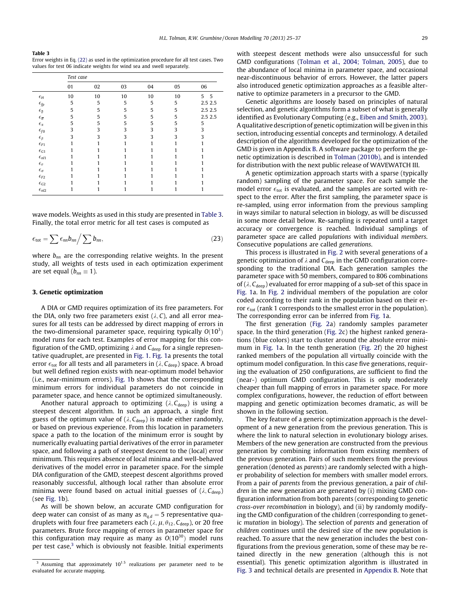<span id="page-4-0"></span>Table 3

Error weights in Eq. [\(22\)](#page-3-0) as used in the optimization procedure for all test cases. Two values for test 06 indicate weights for wind sea and swell separately.

|                                  | Test case |    |    |    |    |         |  |  |
|----------------------------------|-----------|----|----|----|----|---------|--|--|
|                                  | 01        | 02 | 03 | 04 | 05 | 06      |  |  |
| $\epsilon_H$                     | 10        | 10 | 10 | 10 | 10 | 5<br>5  |  |  |
| $\epsilon_{fp}$                  | 5         | 5  | 5  | 5  | 5  | 2.5 2.5 |  |  |
| $\epsilon_{\overline{\theta}}$   | 5         | 5  | 5  | 5  | 5  | 2.5 2.5 |  |  |
| $\epsilon_{\overline{\sigma}}$   | 5         | 5  | 5  | 5  | 5  | 2.5 2.5 |  |  |
| $\epsilon_{\alpha}$              | 5         | 5  | 5  | 5  | 5  | 5       |  |  |
| $\epsilon_{f0}$                  | 3         | 3  | 3  | 3  | 3  | 3       |  |  |
| $\epsilon_{\beta}$               | 3         | 3  | 3  | 3  | 3  | 3       |  |  |
| $\epsilon_{F1}$                  |           |    |    |    |    |         |  |  |
| $\epsilon_{G1}$                  |           |    |    |    |    |         |  |  |
| $\epsilon_{nl1}$                 |           |    |    |    |    |         |  |  |
| $\epsilon_{\boldsymbol{\theta}}$ |           |    |    |    |    |         |  |  |
| $\epsilon_\sigma$                |           |    |    |    |    |         |  |  |
| $\epsilon_{F2}$                  |           |    |    |    |    |         |  |  |
| $\epsilon_{G2}$                  |           |    |    |    |    |         |  |  |
| $\epsilon_{nl2}$                 |           |    |    |    |    |         |  |  |

wave models. Weights as used in this study are presented in Table 3. Finally, the total error metric for all test cases is computed as

$$
\epsilon_{\rm tot} = \sum \epsilon_{nn} b_{nn} / \sum b_{nn}, \qquad (23)
$$

where  $b_{nn}$  are the corresponding relative weights. In the present study, all weights of tests used in each optimization experiment are set equal ( $b_{nn} \equiv 1$ ).

### 3. Genetic optimization

A DIA or GMD requires optimization of its free parameters. For the DIA, only two free parameters exist  $(\lambda, C)$ , and all error measures for all tests can be addressed by direct mapping of errors in the two-dimensional parameter space, requiring typically  $O(10^3)$ model runs for each test. Examples of error mapping for this configuration of the GMD, optimizing  $\lambda$  and  $C_{\text{deep}}$  for a single representative quadruplet, are presented in [Fig. 1](#page-2-0). [Fig. 1a](#page-2-0) presents the total error  $\epsilon_{\text{tot}}$  for all tests and all parameters in ( $\lambda$ ,  $C_{\text{deep}}$ ) space. A broad but well defined region exists with near-optimum model behavior (i.e., near-minimum errors). [Fig. 1](#page-2-0)b shows that the corresponding minimum errors for individual parameters do not coincide in parameter space, and hence cannot be optimized simultaneously.

Another natural approach to optimizing  $(\lambda, C_{\text{deep}})$  is using a steepest descent algorithm. In such an approach, a single first guess of the optimum value of ( $\lambda$ ,  $C_{\text{deep}}$ ) is made either randomly, or based on previous experience. From this location in parameters space a path to the location of the minimum error is sought by numerically evaluating partial derivatives of the error in parameter space, and following a path of steepest descent to the (local) error minimum. This requires absence of local minima and well-behaved derivatives of the model error in parameter space. For the simple DIA configuration of the GMD, steepest descent algorithms proved reasonably successful, although local rather than absolute error minima were found based on actual initial guesses of  $(\lambda, C_{\text{deep}})$ (see [Fig. 1b](#page-2-0)).

As will be shown below, an accurate GMD configuration for deep water can consist of as many as  $n_{q,d} = 5$  representative quadruplets with four free parameters each ( $\lambda$ ,  $\mu$ ,  $\theta$ <sub>12</sub>,  $C$ <sub>deep</sub>), or 20 free parameters. Brute force mapping of errors in parameter space for this configuration may require as many as  $O(10^{30})$  model runs per test case, $3$  which is obviously not feasible. Initial experiments with steepest descent methods were also unsuccessful for such GMD configurations [\(Tolman et al., 2004; Tolman, 2005\)](#page-12-0), due to the abundance of local minima in parameter space, and occasional near-discontinuous behavior of errors. However, the latter papers also introduced genetic optimization approaches as a feasible alternative to optimize parameters in a precursor to the GMD.

Genetic algorithms are loosely based on principles of natural selection, and genetic algorithms form a subset of what is generally identified as Evolutionary Computing (e.g., [Eiben and Smith, 2003\)](#page-12-0). A qualitative description of genetic optimization will be given in this section, introducing essential concepts and terminology. A detailed description of the algorithms developed for the optimization of the GMD is given in Appendix [B.](#page-10-0) A software package to perform the genetic optimization is described in [Tolman \(2010b\)](#page-12-0), and is intended for distribution with the next public release of WAVEWATCH III.

A genetic optimization approach starts with a sparse (typically random) sampling of the parameter space. For each sample the model error  $\epsilon_{\text{tot}}$  is evaluated, and the samples are sorted with respect to the error. After the first sampling, the parameter space is re-sampled, using error information from the previous sampling in ways similar to natural selection in biology, as will be discussed in some more detail below. Re-sampling is repeated until a target accuracy or convergence is reached. Individual samplings of parameter space are called populations with individual members. Consecutive populations are called generations.

This process is illustrated in [Fig. 2](#page-5-0) with several generations of a genetic optimization of  $\lambda$  and  $C_{\text{deep}}$  in the GMD configuration corresponding to the traditional DIA. Each generation samples the parameter space with 50 members, compared to 806 combinations of ( $\lambda$ ,  $C_{\text{deep}}$ ) evaluated for error mapping of a sub-set of this space in [Fig. 1a](#page-2-0). In [Fig. 2](#page-5-0) individual members of the population are color coded according to their rank in the population based on their error  $\epsilon_{\text{tot}}$  (rank 1 corresponds to the smallest error in the population). The corresponding error can be inferred from [Fig. 1a](#page-2-0).

The first generation ([Fig. 2a](#page-5-0)) randomly samples parameter space. In the third generation ([Fig. 2](#page-5-0)c) the highest ranked generations (blue colors) start to cluster around the absolute error minimum in [Fig. 1a](#page-2-0). In the tenth generation [\(Fig. 2f](#page-5-0)) the 20 highest ranked members of the population all virtually coincide with the optimum model configuration. In this case five generations, requiring the evaluation of 250 configurations, are sufficient to find the (near-) optimum GMD configuration. This is only moderately cheaper than full mapping of errors in parameter space. For more complex configurations, however, the reduction of effort between mapping and genetic optimization becomes dramatic, as will be shown in the following section.

The key feature of a generic optimization approach is the development of a new generation from the previous generation. This is where the link to natural selection in evolutionary biology arises. Members of the new generation are constructed from the previous generation by combining information from existing members of the previous generation. Pairs of such members from the previous generation (denoted as parents) are randomly selected with a higher probability of selection for members with smaller model errors. From a pair of parents from the previous generation, a pair of children in the new generation are generated by (i) mixing GMD configuration information from both parents (corresponding to genetic cross-over recombination in biology), and (ii) by randomly modifying the GMD configuration of the children (corresponding to genetic mutation in biology). The selection of parents and generation of children continues until the desired size of the new population is reached. To assure that the new generation includes the best configurations from the previous generation, some of these may be retained directly in the new generation (although this is not essential). This genetic optimization algorithm is illustrated in [Fig. 3](#page-6-0) and technical details are presented in [Appendix B](#page-10-0). Note that

 $\overline{A}$ ssuming that approximately 10<sup>1.5</sup> realizations per parameter need to be evaluated for accurate mapping.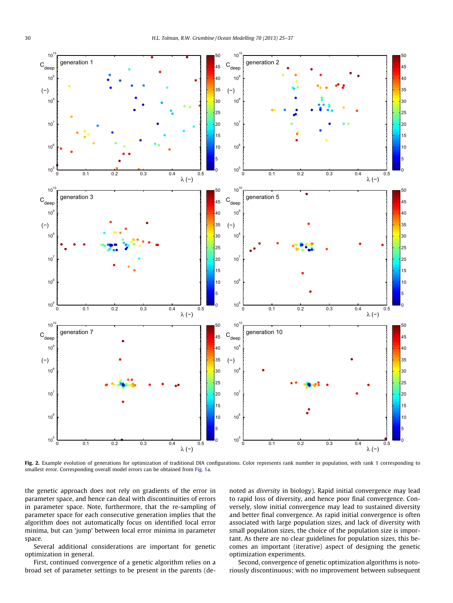<span id="page-5-0"></span>

Fig. 2. Example evolution of generations for optimization of traditional DIA configurations. Color represents rank number in population, with rank 1 corresponding to smallest error. Corresponding overall model errors can be obtained from [Fig. 1a](#page-2-0).

the genetic approach does not rely on gradients of the error in parameter space, and hence can deal with discontinuities of errors in parameter space. Note, furthermore, that the re-sampling of parameter space for each consecutive generation implies that the algorithm does not automatically focus on identified local error minima, but can 'jump' between local error minima in parameter space.

Several additional considerations are important for genetic optimization in general.

First, continued convergence of a genetic algorithm relies on a broad set of parameter settings to be present in the parents (denoted as diversity in biology). Rapid initial convergence may lead to rapid loss of diversity, and hence poor final convergence. Conversely, slow initial convergence may lead to sustained diversity and better final convergence. As rapid initial convergence is often associated with large population sizes, and lack of diversity with small population sizes, the choice of the population size is important. As there are no clear guidelines for population sizes, this becomes an important (iterative) aspect of designing the genetic optimization experiments.

Second, convergence of genetic optimization algorithms is notoriously discontinuous; with no improvement between subsequent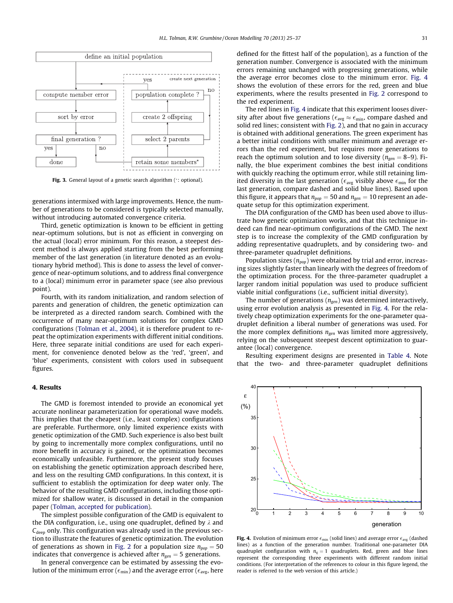<span id="page-6-0"></span>

Fig. 3. General layout of a genetic search algorithm (\*: optional).

generations intermixed with large improvements. Hence, the number of generations to be considered is typically selected manually, without introducing automated convergence criteria.

Third, genetic optimization is known to be efficient in getting near-optimum solutions, but is not as efficient in converging on the actual (local) error minimum. For this reason, a steepest descent method is always applied starting from the best performing member of the last generation (in literature denoted as an evolutionary hybrid method). This is done to assess the level of convergence of near-optimum solutions, and to address final convergence to a (local) minimum error in parameter space (see also previous point).

Fourth, with its random initialization, and random selection of parents and generation of children, the genetic optimization can be interpreted as a directed random search. Combined with the occurrence of many near-optimum solutions for complex GMD configurations ([Tolman et al., 2004](#page-12-0)), it is therefore prudent to repeat the optimization experiments with different initial conditions. Here, three separate initial conditions are used for each experiment, for convenience denoted below as the 'red', 'green', and 'blue' experiments, consistent with colors used in subsequent figures.

### 4. Results

The GMD is foremost intended to provide an economical yet accurate nonlinear parameterization for operational wave models. This implies that the cheapest (i.e., least complex) configurations are preferable. Furthermore, only limited experience exists with genetic optimization of the GMD. Such experience is also best built by going to incrementally more complex configurations, until no more benefit in accuracy is gained, or the optimization becomes economically unfeasible. Furthermore, the present study focuses on establishing the genetic optimization approach described here, and less on the resulting GMD configurations. In this context, it is sufficient to establish the optimization for deep water only. The behavior of the resulting GMD configurations, including those optimized for shallow water, is discussed in detail in the companion paper ([Tolman, accepted for publication\)](#page-12-0).

The simplest possible configuration of the GMD is equivalent to the DIA configuration, i.e., using one quadruplet, defined by  $\lambda$  and  $C_{\text{deep}}$  only. This configuration was already used in the previous section to illustrate the features of genetic optimization. The evolution of generations as shown in [Fig. 2](#page-5-0) for a population size  $n_{pop} = 50$ indicates that convergence is achieved after  $n_{gen} = 5$  generations.

In general convergence can be estimated by assessing the evolution of the minimum error ( $\epsilon_{\rm min}$ ) and the average error ( $\epsilon_{\rm avg}$ , here defined for the fittest half of the population), as a function of the generation number. Convergence is associated with the minimum errors remaining unchanged with progressing generations, while the average error becomes close to the minimum error. Fig. 4 shows the evolution of these errors for the red, green and blue experiments, where the results presented in [Fig. 2](#page-5-0) correspond to the red experiment.

The red lines in Fig. 4 indicate that this experiment looses diversity after about five generations ( $\epsilon_{\text{avg}} \approx \epsilon_{\text{min}}$ , compare dashed and solid red lines; consistent with [Fig. 2](#page-5-0)), and that no gain in accuracy is obtained with additional generations. The green experiment has a better initial conditions with smaller minimum and average errors than the red experiment, but requires more generations to reach the optimum solution and to lose diversity ( $n_{gen} = 8-9$ ). Finally, the blue experiment combines the best initial conditions with quickly reaching the optimum error, while still retaining limited diversity in the last generation ( $\epsilon_{\text{avg}}$  visibly above  $\epsilon_{\text{min}}$  for the last generation, compare dashed and solid blue lines). Based upon this figure, it appears that  $n_{pop} = 50$  and  $n_{gen} = 10$  represent an adequate setup for this optimization experiment.

The DIA configuration of the GMD has been used above to illustrate how genetic optimization works, and that this technique indeed can find near-optimum configurations of the GMD. The next step is to increase the complexity of the GMD configuration by adding representative quadruplets, and by considering two- and three-parameter quadruplet definitions.

Population sizes ( $n_{pop}$ ) were obtained by trial and error, increasing sizes slightly faster than linearly with the degrees of freedom of the optimization process. For the three-parameter quadruplet a larger random initial population was used to produce sufficient viable initial configurations (i.e., sufficient initial diversity).

The number of generations ( $n_{gen}$ ) was determined interactively, using error evolution analysis as presented in Fig. 4. For the relatively cheap optimization experiments for the one-parameter quadruplet definition a liberal number of generations was used. For the more complex definitions  $n_{gen}$  was limited more aggressively, relying on the subsequent steepest descent optimization to guarantee (local) convergence.

Resulting experiment designs are presented in [Table 4.](#page-7-0) Note that the two- and three-parameter quadruplet definitions



Fig. 4. Evolution of minimum error  $\epsilon_{\min}$  (solid lines) and average error  $\epsilon_{\text{avg}}$  (dashed lines) as a function of the generation number. Traditional one-parameter DIA quadruplet configuration with  $n_q = 1$  quadruplets. Red, green and blue lines represent the corresponding three experiments with different random initial conditions. (For interpretation of the references to colour in this figure legend, the reader is referred to the web version of this article.)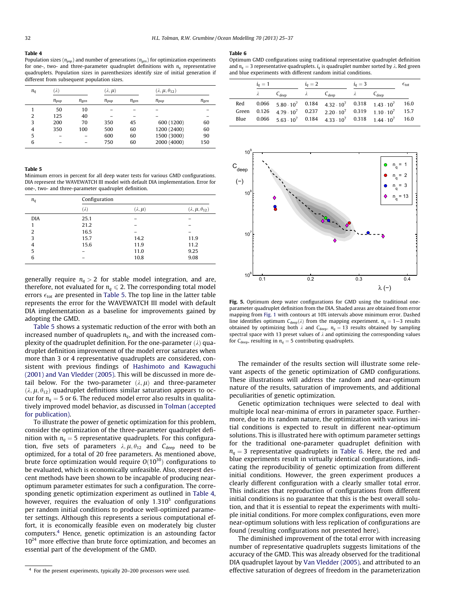#### <span id="page-7-0"></span>Table 4

Population sizes ( $n_{pop}$ ) and number of generations ( $n_{gen}$ ) for optimization experiments for one-, two- and three-parameter quadruplet definitions with  $n_a$  representative quadruplets. Population sizes in parenthesizes identify size of initial generation if different from subsequent population sizes.

| $n_q$ | $(\lambda)$ |           | $(\lambda, \mu)$ |           | $(\lambda, \mu, \theta_{12})$ |           |
|-------|-------------|-----------|------------------|-----------|-------------------------------|-----------|
|       | $n_{pop}$   | $n_{gen}$ | $n_{pop}$        | $n_{gen}$ | $n_{pop}$                     | $n_{gen}$ |
|       | 50          | 10        |                  |           |                               |           |
| 2     | 125         | 40        |                  |           |                               |           |
| 3     | 200         | 70        | 350              | 45        | 600 (1200)                    | 60        |
| 4     | 350         | 100       | 500              | 60        | 1200 (2400)                   | 60        |
| 5     |             |           | 600              | 60        | 1500 (3000)                   | 90        |
| 6     |             |           | 750              | 60        | 2000 (4000)                   | 150       |

### Table 5

Minimum errors in percent for all deep water tests for various GMD configurations. DIA represent the WAVEWATCH III model with default DIA implementation. Error for one-, two- and three-parameter quadruplet definition.

| $n_q$      | Configuration |                  |                               |
|------------|---------------|------------------|-------------------------------|
|            | $(\lambda)$   | $(\lambda, \mu)$ | $(\lambda, \mu, \theta_{12})$ |
| <b>DIA</b> | 25.1          |                  |                               |
| 1          | 21.2          |                  |                               |
| 2          | 16.5          |                  |                               |
| 3          | 15.7          | 14.2             | 11.9                          |
| 4          | 15.6          | 11.9             | 11.2                          |
| 5          |               | 11.0             | 9.25                          |
| 6          |               | 10.8             | 9.08                          |

generally require  $n_a > 2$  for stable model integration, and are, therefore, not evaluated for  $n_a \leq 2$ . The corresponding total model errors  $\epsilon_{\text{tot}}$  are presented in Table 5. The top line in the latter table represents the error for the WAVEWATCH III model with default DIA implementation as a baseline for improvements gained by adopting the GMD.

Table 5 shows a systematic reduction of the error with both an increased number of quadruplets  $n_a$ , and with the increased complexity of the quadruplet definition. For the one-parameter  $(\lambda)$  quadruplet definition improvement of the model error saturates when more than 3 or 4 representative quadruplets are considered, consistent with previous findings of [Hashimoto and Kawaguchi](#page-12-0) [\(2001\) and Van Vledder \(2005\)](#page-12-0). This will be discussed in more detail below. For the two-parameter  $(\lambda, \mu)$  and three-parameter  $(\lambda, \mu, \theta_{12})$  quadruplet definitions similar saturation appears to occur for  $n_q = 5$  or 6. The reduced model error also results in qualitatively improved model behavior, as discussed in [Tolman \(accepted](#page-12-0) [for publication\).](#page-12-0)

To illustrate the power of genetic optimization for this problem, consider the optimization of the three-parameter quadruplet definition with  $n_q = 5$  representative quadruplets. For this configuration, five sets of parameters  $\lambda, \mu, \theta_{12}$  and  $C_{\text{deep}}$  need to be optimized, for a total of 20 free parameters. As mentioned above, brute force optimization would require  $O(10^{30})$  configurations to be evaluated, which is economically unfeasible. Also, steepest descent methods have been shown to be incapable of producing nearoptimum parameter estimates for such a configuration. The corresponding genetic optimization experiment as outlined in Table 4, however, requires the evaluation of only  $1.310<sup>5</sup>$  configurations per random initial conditions to produce well-optimized parameter settings. Although this represents a serious computational effort, it is economically feasible even on moderately big cluster computers.4 Hence, genetic optimization is an astounding factor  $10^{24}$  more effective than brute force optimization, and becomes an essential part of the development of the GMD.

#### Table 6

Optimum GMD configurations using traditional representative quadruplet definition and  $n_a = 3$  representative quadruplets.  $i_a$  is quadruplet number sorted by  $\lambda$ . Red green and blue experiments with different random initial conditions.

|       | $i_q=1$   | $i_q=2$                                                                            |           | $i_q=3$   |           |            | $\epsilon_{\rm tot}$ |
|-------|-----------|------------------------------------------------------------------------------------|-----------|-----------|-----------|------------|----------------------|
|       | $\lambda$ | $C_{deep}$                                                                         | $\lambda$ | $C_{den}$ | $\lambda$ | $C_{deen}$ |                      |
| Red   |           | $0.066$ $5.80 \cdot 10^7$ $0.184$ $4.32 \cdot 10^7$ $0.318$ $1.43 \cdot 10^7$      |           |           |           |            | 16.0                 |
| Green |           | 0.126 $4.79 \cdot 10^7$ 0.237 $2.20 \cdot 10^7$ 0.319 $1.10 \cdot 10^7$            |           |           |           |            | 15.7                 |
| Blue  |           | $0.066$ 5.63.10 <sup>7</sup> 0.184 4.33.10 <sup>7</sup> 0.318 1.44.10 <sup>7</sup> |           |           |           |            | 16.0                 |



Fig. 5. Optimum deep water configurations for GMD using the traditional oneparameter quadruplet definition from the DIA. Shaded areas are obtained from error mapping from [Fig. 1](#page-2-0) with contours at 10% intervals above minimum error. Dashed line identifies optimum  $C_{\text{deep}}(\lambda)$  from the mapping experiment.  $n_q = 1-3$  results obtained by optimizing both  $\lambda$  and  $C_{\text{deep}}$ .  $n_q = 13$  results obtained by sampling spectral space with 13 preset values of  $\lambda$  and optimizing the corresponding values for  $C_{\text{deep}}$ , resulting in  $n_q = 5$  contributing quadruplets.

The remainder of the results section will illustrate some relevant aspects of the genetic optimization of GMD configurations. These illustrations will address the random and near-optimum nature of the results, saturation of improvements, and additional peculiarities of genetic optimization.

Genetic optimization techniques were selected to deal with multiple local near-minima of errors in parameter space. Furthermore, due to its random nature, the optimization with various initial conditions is expected to result in different near-optimum solutions. This is illustrated here with optimum parameter settings for the traditional one-parameter quadruplet definition with  $n_q = 3$  representative quadruplets in Table 6. Here, the red and blue experiments result in virtually identical configurations, indicating the reproducibility of genetic optimization from different initial conditions. However, the green experiment produces a clearly different configuration with a clearly smaller total error. This indicates that reproduction of configurations from different initial conditions is no guarantee that this is the best overall solution, and that it is essential to repeat the experiments with multiple initial conditions. For more complex configurations, even more near-optimum solutions with less replication of configurations are found (resulting configurations not presented here).

The diminished improvement of the total error with increasing number of representative quadruplets suggests limitations of the accuracy of the GMD. This was already observed for the traditional DIA quadruplet layout by [Van Vledder \(2005\),](#page-12-0) and attributed to an effective saturation of degrees of freedom in the parameterization

<sup>4</sup> For the present experiments, typically 20–200 processors were used.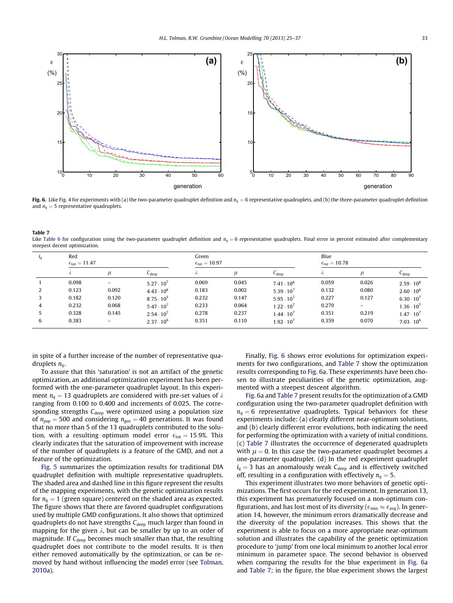<span id="page-8-0"></span>![](_page_8_Figure_1.jpeg)

Fig. 6. Like [Fig. 4](#page-6-0) for experiments with (a) the two-parameter quadruplet definition and  $n_q = 6$  representative quadruplets, and (b) the three-parameter quadruplet definition and  $n_q = 5$  representative quadruplets.

| <b>Table 7</b>                                                                                                                                                             |
|----------------------------------------------------------------------------------------------------------------------------------------------------------------------------|
| Like Table 6 for configuration using the two-parameter quadruplet definition and $ng = 6$ representative quadruplets. Final error in percent estimated after complementary |
| steepest decent optimization.                                                                                                                                              |

| $l_q$ | Red<br>$\epsilon_{\text{tot}} = 11.47$ |                          |                     | Green<br>$\epsilon_{\text{tot}} = 10.97$ |       |                     | Blue<br>$\epsilon_{\text{tot}} = 10.78$ |          |                     |
|-------|----------------------------------------|--------------------------|---------------------|------------------------------------------|-------|---------------------|-----------------------------------------|----------|---------------------|
|       | $\sim$                                 | $\mu$                    | $C_{deep}$          |                                          | $\mu$ | $C_{deep}$          |                                         | $\mu$    | $C_{deep}$          |
|       | 0.098                                  | $\qquad \qquad -$        | $5.27 \cdot 10^7$   | 0.069                                    | 0.045 | $7.41 \cdot 10^8$   | 0.059                                   | 0.026    | $2.59 \cdot 10^8$   |
| 2     | 0.123                                  | 0.092                    | $4.43 \cdot 10^8$   | 0.183                                    | 0.002 | $5.39 \cdot 10^{7}$ | 0.132                                   | 0.080    | $2.60 \cdot 10^8$   |
|       | 0.182                                  | 0.120                    | $8.75 \cdot 10^5$   | 0.232                                    | 0.147 | $5.95 \cdot 10^{7}$ | 0.227                                   | 0.127    | $6.30 \cdot 10^{7}$ |
| 4     | 0.232                                  | 0.068                    | $5.47 \cdot 10^{7}$ | 0.233                                    | 0.064 | $1.22 \cdot 10^7$   | 0.279                                   | $\equiv$ | $1.36 \cdot 10^{7}$ |
| 5     | 0.328                                  | 0.145                    | $2.54 \cdot 10^{7}$ | 0.278                                    | 0.237 | $1.44 \cdot 10^{7}$ | 0.351                                   | 0.219    | $1.47 \cdot 10^{7}$ |
| 6     | 0.383                                  | $\overline{\phantom{m}}$ | $2.37 \cdot 10^6$   | 0.351                                    | 0.110 | $1.92 \cdot 10^{7}$ | 0.359                                   | 0.070    | $7.03 \cdot 10^6$   |

in spite of a further increase of the number of representative quadruplets  $n_a$ .

To assure that this 'saturation' is not an artifact of the genetic optimization, an additional optimization experiment has been performed with the one-parameter quadruplet layout. In this experiment  $n_a = 13$  quadruplets are considered with pre-set values of  $\lambda$ ranging from 0.100 to 0.400 and increments of 0.025. The corresponding strengths  $C_{\text{deen}}$  were optimized using a population size of  $n_{pop} = 500$  and considering  $n_{gen} = 40$  generations. It was found that no more than 5 of the 13 quadruplets contributed to the solution, with a resulting optimum model error  $\epsilon_{\text{tot}} = 15.9\%$ . This clearly indicates that the saturation of improvement with increase of the number of quadruplets is a feature of the GMD, and not a feature of the optimization.

[Fig. 5](#page-7-0) summarizes the optimization results for traditional DIA quadruplet definition with multiple representative quadruplets. The shaded area and dashed line in this figure represent the results of the mapping experiments, with the genetic optimization results for  $n_q = 1$  (green square) centered on the shaded area as expected. The figure shows that there are favored quadruplet configurations used by multiple GMD configurations. It also shows that optimized quadruplets do not have strengths  $C_{\text{deep}}$  much larger than found in mapping for the given  $\lambda$ , but can be smaller by up to an order of magnitude. If  $C_{\text{deep}}$  becomes much smaller than that, the resulting quadruplet does not contribute to the model results. It is then either removed automatically by the optimization, or can be removed by hand without influencing the model error (see [Tolman,](#page-12-0) [2010a\)](#page-12-0).

Finally, Fig. 6 shows error evolutions for optimization experiments for two configurations, and Table 7 show the optimization results corresponding to Fig. 6a. These experiments have been chosen to illustrate peculiarities of the genetic optimization, augmented with a steepest descent algorithm.

Fig. 6a and Table 7 present results for the optimization of a GMD configuration using the two-parameter quadruplet definition with  $n_a = 6$  representative quadruplets. Typical behaviors for these experiments include: (a) clearly different near-optimum solutions, and (b) clearly different error evolutions, both indicating the need for performing the optimization with a variety of initial conditions. (c) Table 7 illustrates the occurrence of degenerated quadruplets with  $\mu = 0$ . In this case the two-parameter quadruplet becomes a one-parameter quadruplet. (d) In the red experiment quadruplet  $i_q = 3$  has an anomalously weak C<sub>deep</sub> and is effectively switched off, resulting in a configuration with effectively  $n_q = 5$ .

This experiment illustrates two more behaviors of genetic optimizations. The first occurs for the red experiment. In generation 13, this experiment has prematurely focused on a non-optimum configurations, and has lost most of its diversity ( $\epsilon_{\min} \approx \epsilon_{\text{avg}}$ ). In generation 14, however, the minimum errors dramatically decrease and the diversity of the population increases. This shows that the experiment is able to focus on a more appropriate near-optimum solution and illustrates the capability of the genetic optimization procedure to 'jump' from one local minimum to another local error minimum in parameter space. The second behavior is observed when comparing the results for the blue experiment in Fig. 6a and Table 7; in the figure, the blue experiment shows the largest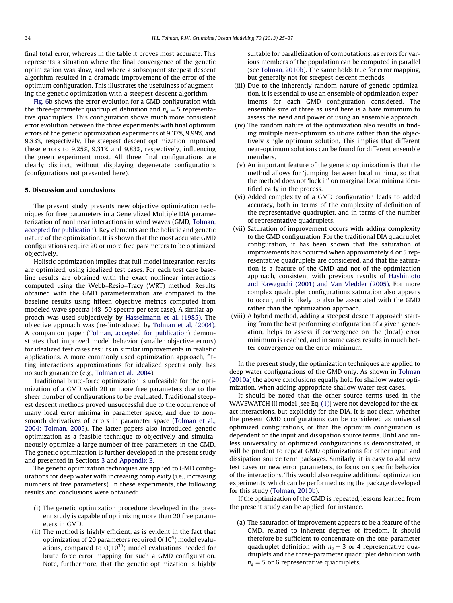<span id="page-9-0"></span>final total error, whereas in the table it proves most accurate. This represents a situation where the final convergence of the genetic optimization was slow, and where a subsequent steepest descent algorithm resulted in a dramatic improvement of the error of the optimum configuration. This illustrates the usefulness of augmenting the genetic optimization with a steepest descent algorithm.

[Fig. 6b](#page-8-0) shows the error evolution for a GMD configuration with the three-parameter quadruplet definition and  $n_a = 5$  representative quadruplets. This configuration shows much more consistent error evolution between the three experiments with final optimum errors of the genetic optimization experiments of 9.37%, 9.99%, and 9.83%, respectively. The steepest descent optimization improved these errors to 9.25%, 9.31% and 9.83%, respectively, influencing the green experiment most. All three final configurations are clearly distinct, without displaying degenerate configurations (configurations not presented here).

### 5. Discussion and conclusions

The present study presents new objective optimization techniques for free parameters in a Generalized Multiple DIA parameterization of nonlinear interactions in wind waves (GMD, [Tolman,](#page-12-0) [accepted for publication](#page-12-0)). Key elements are the holistic and genetic nature of the optimization. It is shown that the most accurate GMD configurations require 20 or more free parameters to be optimized objectively.

Holistic optimization implies that full model integration results are optimized, using idealized test cases. For each test case baseline results are obtained with the exact nonlinear interactions computed using the Webb–Resio–Tracy (WRT) method. Results obtained with the GMD parameterization are compared to the baseline results using fifteen objective metrics computed from modeled wave spectra (48–50 spectra per test case). A similar approach was used subjectively by [Hasselmann et al. \(1985\)](#page-12-0). The objective approach was (re-)introduced by [Tolman et al. \(2004\).](#page-12-0) A companion paper [\(Tolman, accepted for publication](#page-12-0)) demonstrates that improved model behavior (smaller objective errors) for idealized test cases results in similar improvements in realistic applications. A more commonly used optimization approach, fitting interactions approximations for idealized spectra only, has no such guarantee (e.g., [Tolman et al., 2004\)](#page-12-0).

Traditional brute-force optimization is unfeasible for the optimization of a GMD with 20 or more free parameters due to the sheer number of configurations to be evaluated. Traditional steepest descent methods proved unsuccessful due to the occurrence of many local error minima in parameter space, and due to nonsmooth derivatives of errors in parameter space ([Tolman et al.,](#page-12-0) [2004; Tolman, 2005\)](#page-12-0). The latter papers also introduced genetic optimization as a feasible technique to objectively and simultaneously optimize a large number of free parameters in the GMD. The genetic optimization is further developed in the present study and presented in Sections [3](#page-4-0) and [Appendix B](#page-10-0).

The genetic optimization techniques are applied to GMD configurations for deep water with increasing complexity (i.e., increasing numbers of free parameters). In these experiments, the following results and conclusions were obtained:

- (i) The genetic optimization procedure developed in the present study is capable of optimizing more than 20 free parameters in GMD.
- (ii) The method is highly efficient, as is evident in the fact that optimization of 20 parameters required  $O(10^6)$  model evaluations, compared to  $O(10^{30})$  model evaluations needed for brute force error mapping for such a GMD configuration. Note, furthermore, that the genetic optimization is highly

suitable for parallelization of computations, as errors for various members of the population can be computed in parallel (see [Tolman, 2010b\)](#page-12-0). The same holds true for error mapping, but generally not for steepest descent methods.

- (iii) Due to the inherently random nature of genetic optimization, it is essential to use an ensemble of optimization experiments for each GMD configuration considered. The ensemble size of three as used here is a bare minimum to assess the need and power of using an ensemble approach.
- (iv) The random nature of the optimization also results in finding multiple near-optimum solutions rather than the objectively single optimum solution. This implies that different near-optimum solutions can be found for different ensemble members.
- (v) An important feature of the genetic optimization is that the method allows for 'jumping' between local minima, so that the method does not 'lock in' on marginal local minima identified early in the process.
- (vi) Added complexity of a GMD configuration leads to added accuracy, both in terms of the complexity of definition of the representative quadruplet, and in terms of the number of representative quadruplets.
- (vii) Saturation of improvement occurs with adding complexity to the GMD configuration. For the traditional DIA quadruplet configuration, it has been shown that the saturation of improvements has occurred when approximately 4 or 5 representative quadruplets are considered, and that the saturation is a feature of the GMD and not of the optimization approach, consistent with previous results of [Hashimoto](#page-12-0) [and Kawaguchi \(2001\) and Van Vledder \(2005\)](#page-12-0). For more complex quadruplet configurations saturation also appears to occur, and is likely to also be associated with the GMD rather than the optimization approach.
- (viii) A hybrid method, adding a steepest descent approach starting from the best performing configuration of a given generation, helps to assess if convergence on the (local) error minimum is reached, and in some cases results in much better convergence on the error minimum.

In the present study, the optimization techniques are applied to deep water configurations of the GMD only. As shown in [Tolman](#page-12-0) [\(2010a\)](#page-12-0) the above conclusions equally hold for shallow water optimization, when adding appropriate shallow water test cases.

It should be noted that the other source terms used in the WAVEWATCH III model [see Eq. [\(1\)](#page-0-0)] were not developed for the exact interactions, but explicitly for the DIA. It is not clear, whether the present GMD configurations can be considered as universal optimized configurations, or that the optimum configuration is dependent on the input and dissipation source terms. Until and unless universality of optimized configurations is demonstrated, it will be prudent to repeat GMD optimizations for other input and dissipation source term packages. Similarly, it is easy to add new test cases or new error parameters, to focus on specific behavior of the interactions. This would also require additional optimization experiments, which can be performed using the package developed for this study ([Tolman, 2010b](#page-12-0)).

If the optimization of the GMD is repeated, lessons learned from the present study can be applied, for instance.

(a) The saturation of improvement appears to be a feature of the GMD, related to inherent degrees of freedom. It should therefore be sufficient to concentrate on the one-parameter quadruplet definition with  $n_q = 3$  or 4 representative quadruplets and the three-parameter quadruplet definition with  $n_a = 5$  or 6 representative quadruplets.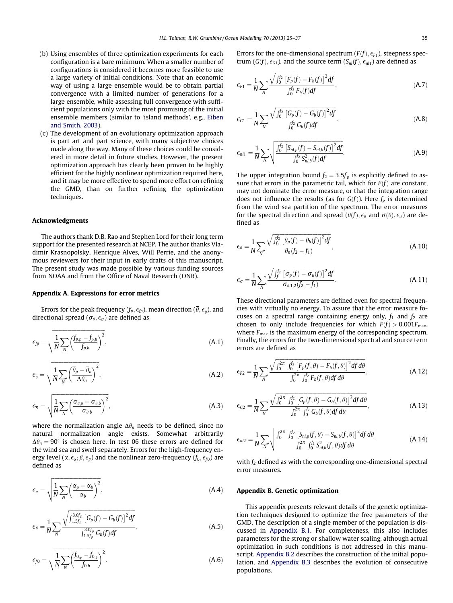- <span id="page-10-0"></span>(b) Using ensembles of three optimization experiments for each configuration is a bare minimum. When a smaller number of configurations is considered it becomes more feasible to use a large variety of initial conditions. Note that an economic way of using a large ensemble would be to obtain partial convergence with a limited number of generations for a large ensemble, while assessing full convergence with sufficient populations only with the most promising of the initial ensemble members (similar to 'island methods', e.g., [Eiben](#page-12-0) [and Smith, 2003\)](#page-12-0).
- (c) The development of an evolutionary optimization approach is part art and part science, with many subjective choices made along the way. Many of these choices could be considered in more detail in future studies. However, the present optimization approach has clearly been proven to be highly efficient for the highly nonlinear optimization required here, and it may be more effective to spend more effort on refining the GMD, than on further refining the optimization techniques.

### Acknowledgments

The authors thank D.B. Rao and Stephen Lord for their long term support for the presented research at NCEP. The author thanks Vladimir Krasnopolsky, Henrique Alves, Will Perrie, and the anonymous reviewers for their input in early drafts of this manuscript. The present study was made possible by various funding sources from NOAA and from the Office of Naval Research (ONR).

### Appendix A. Expressions for error metrics

Errors for the peak frequency  $(f_p,\epsilon_{\textit{fp}})$ , mean direction  $(\overline{\theta},\epsilon_{\overline{\theta}})$ , and directional spread  $(\sigma_{\theta}, \epsilon_{\overline{\sigma}})$  are defined as

$$
\epsilon_{fp} = \sqrt{\frac{1}{N} \sum_{N} \left( \frac{f_{p,p} - f_{p,b}}{f_{p,b}} \right)^2},\tag{A.1}
$$

$$
\epsilon_{\overline{\theta}} = \sqrt{\frac{1}{N} \sum_{N} \left( \frac{\overline{\theta}_{p} - \overline{\theta}_{b}}{\Delta \theta_{n}} \right)^{2}},
$$
\n(A.2)

$$
\epsilon_{\overline{\sigma}} = \sqrt{\frac{1}{N} \sum_{N} \left( \frac{\sigma_{\theta, p} - \sigma_{\theta, b}}{\sigma_{\theta, b}} \right)^2},\tag{A.3}
$$

where the normalization angle  $\Delta\theta_n$  needs to be defined, since no natural normalization angle exists. Somewhat arbitrarily  $\Delta\theta_n = 90^\circ$  is chosen here. In test 06 these errors are defined for the wind sea and swell separately. Errors for the high-frequency energy level  $(\alpha,\epsilon_{\alpha};\beta,\epsilon_{\beta})$  and the nonlinear zero-frequency  $(f_0,\epsilon_{f0})$  are defined as

$$
\epsilon_{\alpha} = \sqrt{\frac{1}{N} \sum_{N} \left( \frac{\alpha_p - \alpha_b}{\alpha_b} \right)^2},\tag{A.4}
$$

$$
\epsilon_{\beta} = \frac{1}{N} \sum_{N} \frac{\sqrt{\int_{1.5f_p}^{3.0f_p} [G_p(f) - G_b(f)]^2 df}}{\int_{1.5f_p}^{3.0f_p} G_b(f) df},
$$
\n(A.5)

$$
\epsilon_{f0} = \sqrt{\frac{1}{N} \sum_{N} \left( \frac{f_{0,p} - f_{0,b}}{f_{0,b}} \right)^2}.
$$
\n(A.6)

Errors for the one-dimensional spectrum ( $F(f)$ ,  $\epsilon_{F1}$ ), steepness spectrum  $(G(f), \epsilon_{G1})$ , and the source term  $(S_{nl}(f), \epsilon_{nl1})$  are defined as

$$
\epsilon_{F1} = \frac{1}{N} \sum_{N} \frac{\sqrt{\int_0^{f_2} [F_p(f) - F_b(f)]^2 df}}{\int_0^{f_2} F_b(f) df}, \qquad (A.7)
$$

$$
\epsilon_{G1} = \frac{1}{N} \sum_{N} \frac{\sqrt{\int_{0}^{f_2} \left[ G_p(f) - G_b(f) \right]^2 df}}{\int_{0}^{f_2} G_b(f) df}, \tag{A.8}
$$

$$
\epsilon_{nl1} = \frac{1}{N} \sum_{N} \sqrt{\frac{\int_0^{f_2} \left[ S_{nl,p}(f) - S_{nl,b}(f) \right]^2 df}{\int_0^{f_2} S_{nl,b}^2(f) df}}.
$$
\n(A.9)

The upper integration bound  $f_2 = 3.5f_p$  is explicitly defined to assure that errors in the parametric tail, which for  $F(f)$  are constant, may not dominate the error measure, or that the integration range does not influence the results (as for  $G(f)$ ). Here  $f<sub>p</sub>$  is determined from the wind sea partition of the spectrum. The error measures for the spectral direction and spread  $(\theta(f), \epsilon_{\theta})$  and  $\sigma(\theta), \epsilon_{\sigma}$ ) are defined as

$$
\epsilon_{\theta} = \frac{1}{N} \sum_{N} \frac{\sqrt{\int_{f_1}^{f_2} \left[\theta_p(f) - \theta_b(f)\right]^2 df}}{\theta_n(f_2 - f_1)},
$$
\n(A.10)

$$
\epsilon_{\sigma} = \frac{1}{N} \sum_{N} \frac{\sqrt{\int_{f_1}^{f_2} [\sigma_p(f) - \sigma_b(f)]^2 df}}{\sigma_{\theta,1,2}(f_2 - f_1)}.
$$
\n(A.11)

These directional parameters are defined even for spectral frequencies with virtually no energy. To assure that the error measure focuses on a spectral range containing energy only,  $f_1$  and  $f_2$  are chosen to only include frequencies for which  $F(f) > 0.001F_{\text{max}}$ , where  $F_{\text{max}}$  is the maximum energy of the corresponding spectrum. Finally, the errors for the two-dimensional spectral and source term errors are defined as

$$
\epsilon_{F2} = \frac{1}{N} \sum_{N} \frac{\sqrt{\int_{0}^{2\pi} \int_{0}^{f_{2}} \left[F_{p}(f,\theta) - F_{b}(f,\theta)\right]^{2} df d\theta}}{\int_{0}^{2\pi} \int_{0}^{f_{2}} F_{b}(f,\theta) df d\theta}, \qquad (A.12)
$$

$$
\epsilon_{G2} = \frac{1}{N} \sum_{N} \frac{\sqrt{\int_{0}^{2\pi} \int_{0}^{f_{2}} \left[ G_{p}(f,\theta) - G_{b}(f,\theta) \right]^{2} df d\theta}}{\int_{0}^{2\pi} \int_{0}^{f_{2}} G_{b}(f,\theta) df d\theta}, \qquad (A.13)
$$

$$
\epsilon_{nl2} = \frac{1}{N} \sum_{N} \sqrt{\frac{\int_0^{2\pi} \int_0^{f_2} \left[ S_{nl,p}(f,\theta) - S_{nl,b}(f,\theta) \right]^2 df d\theta}{\int_0^{2\pi} \int_0^{f_2} S_{nl,b}^2(f,\theta) df d\theta}}
$$
(A.14)

with  $f_2$  defined as with the corresponding one-dimensional spectral error measures.

### Appendix B. Genetic optimization

This appendix presents relevant details of the genetic optimization techniques designed to optimize the free parameters of the GMD. The description of a single member of the population is discussed in [Appendix B.1.](#page-11-0) For completeness, this also includes parameters for the strong or shallow water scaling, although actual optimization in such conditions is not addressed in this manuscript. [Appendix B.2](#page-11-0) describes the construction of the initial population, and [Appendix B.3](#page-11-0) describes the evolution of consecutive populations.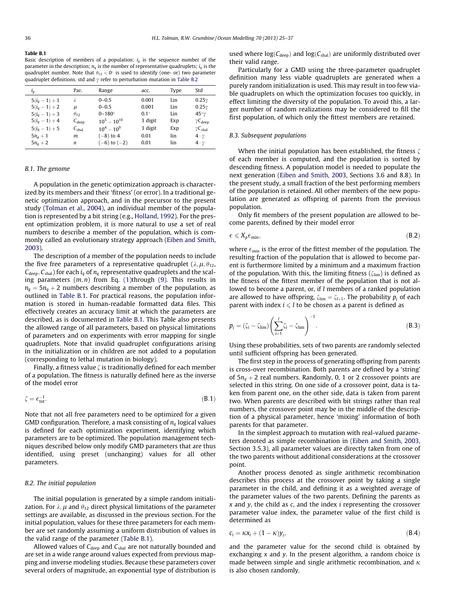<span id="page-11-0"></span>Table B.1

Basic description of members of a population:  $i_{g}$  is the sequence number of the parameter in the description;  $n_a$  is the number of representative quadruplets;  $i_a$  is the quadruplet number. Note that  $\theta_{12} < 0^\circ$  is used to identify (one- or) two parameter quadruplet definitions. std and  $\gamma$  refer to perturbation mutation in [Table B.2](#page-12-0)

| $i_{\rm g}$                                                                                                  | Par.                                                                       | Range                                                                                         | acc.                                                        | Type                                   | Std                                                                                                                     |
|--------------------------------------------------------------------------------------------------------------|----------------------------------------------------------------------------|-----------------------------------------------------------------------------------------------|-------------------------------------------------------------|----------------------------------------|-------------------------------------------------------------------------------------------------------------------------|
| $5(i_{q}-1)+1$<br>$5(i_a - 1) + 2$<br>$5(i_a - 1) + 3$<br>$5(i_q - 1) + 4$<br>$5(i_a - 1) + 5$<br>$5n_q + 1$ | λ<br>$\mu$<br>$\theta_{12}$<br>$C_{\text{deep}}$<br>$C_{\text{shal}}$<br>m | $0 - 0.5$<br>$0 - 0.5$<br>$0 - 180^\circ$<br>$10^5 - 10^{10}$<br>$10^4 - 10^9$<br>$(-8)$ to 4 | 0.001<br>0.001<br>$0.1^\circ$<br>3 digit<br>3 digit<br>0.01 | Lin<br>Lin<br>Lin<br>Exp<br>Exp<br>lin | $0.25\gamma$<br>$0.25\gamma$<br>$45°\gamma$<br>$\gamma C_{\text{deep}}$<br>$\gamma C_{\text{shal}}$<br>$4 \cdot \gamma$ |
| $5n_a + 2$                                                                                                   | n                                                                          | $(-6)$ to $(-2)$                                                                              | 0.01                                                        | lin                                    | $4 \cdot \gamma$                                                                                                        |

### B.1. The genome

A population in the genetic optimization approach is characterized by its members and their 'fitness' (or error). In a traditional genetic optimization approach, and in the precursor to the present study ([Tolman et al., 2004\)](#page-12-0), an individual member of the population is represented by a bit string (e.g., [Holland, 1992](#page-12-0)). For the present optimization problem, it is more natural to use a set of real numbers to describe a member of the population, which is commonly called an evolutionary strategy approach ([Eiben and Smith,](#page-12-0) [2003\)](#page-12-0).

The description of a member of the population needs to include the five free parameters of a representative quadruplet ( $\lambda$ ,  $\mu$ ,  $\theta$ <sub>12</sub>,  $C_{\text{deep}}$ ,  $C_{\text{shall}}$ ) for each  $i_q$  of  $n_q$  representative quadruplets and the scaling parameters  $(m, n)$  from Eq. [\(1\)](#page-0-0)through (9). This results in  $n_g = 5n_g + 2$  numbers describing a member of the population, as outlined in Table B.1. For practical reasons, the population information is stored in human-readable formatted data files. This effectively creates an accuracy limit at which the parameters are described, as is documented in Table B.1. This Table also presents the allowed range of all parameters, based on physical limitations of parameters and on experiments with error mapping for single quadruplets. Note that invalid quadruplet configurations arising in the initialization or in children are not added to a population (corresponding to lethal mutation in biology).

Finally, a fitness value  $\zeta$  is traditionally defined for each member of a population. The fitness is naturally defined here as the inverse of the model error

$$
\zeta = \epsilon_{\text{tot}}^{-1}.\tag{B.1}
$$

Note that not all free parameters need to be optimized for a given GMD configuration. Therefore, a mask consisting of  $n_q$  logical values is defined for each optimization experiment, identifying which parameters are to be optimized. The population management techniques described below only modify GMD parameters that are thus identified, using preset (unchanging) values for all other parameters.

### B.2. The initial population

The initial population is generated by a simple random initialization. For  $\lambda$ ,  $\mu$  and  $\theta_{12}$  direct physical limitations of the parameter settings are available, as discussed in the previous section. For the initial population, values for these three parameters for each member are set randomly assuming a uniform distribution of values in the valid range of the parameter (Table B.1).

Allowed values of  $C_{\text{deep}}$  and  $C_{\text{sha}}$  are not naturally bounded and are set in a wide range around values expected from previous mapping and inverse modeling studies. Because these parameters cover several orders of magnitude, an exponential type of distribution is used where  $log(C_{deep})$  and  $log(C_{shall})$  are uniformly distributed over their valid range.

Particularly for a GMD using the three-parameter quadruplet definition many less viable quadruplets are generated when a purely random initialization is used. This may result in too few viable quadruplets on which the optimization focuses too quickly, in effect limiting the diversity of the population. To avoid this, a larger number of random realizations may be considered to fill the first population, of which only the fittest members are retained.

### B.3. Subsequent populations

When the initial population has been established, the fitness  $\zeta$ of each member is computed, and the population is sorted by descending fitness. A population model is needed to populate the next generation [\(Eiben and Smith, 2003](#page-12-0), Sections 3.6 and 8.8). In the present study, a small fraction of the best performing members of the population is retained. All other members of the new population are generated as offspring of parents from the previous population.

Only fit members of the present population are allowed to become parents, defined by their model error

$$
\epsilon \leqslant X_p \epsilon_{\min},\tag{B.2}
$$

where  $\epsilon_{\rm min}$  is the error of the fittest member of the population. The resulting fraction of the population that is allowed to become parent is furthermore limited by a minimum and a maximum fraction of the population. With this, the limiting fitness ( $\zeta_{\text{lim}}$ ) is defined as the fitness of the fittest member of the population that is not allowed to become a parent, or, if l members of a ranked population are allowed to have offspring,  $\zeta_{\text{lim}} = \zeta_{l+1}$ . The probability  $p_i$  of each parent with index  $i \leq l$  to be chosen as a parent is defined as

$$
p_i = (\zeta_i - \zeta_{\text{lim}}) \left( \sum_{i=1}^l \zeta_i - \zeta_{\text{lim}} \right)^{-1}.
$$
 (B.3)

Using these probabilities, sets of two parents are randomly selected until sufficient offspring has been generated.

The first step in the process of generating offspring from parents is cross-over recombination. Both parents are defined by a 'string' of  $5n_a + 2$  real numbers. Randomly, 0, 1 or 2 crossover points are selected in this string. On one side of a crossover point, data is taken from parent one, on the other side, data is taken from parent two. When parents are described with bit strings rather than real numbers, the crossover point may be in the middle of the description of a physical parameter, hence 'mixing' information of both parents for that parameter.

In the simplest approach to mutation with real-valued parameters denoted as simple recombination in ([Eiben and Smith, 2003,](#page-12-0) Section 3.5.3), all parameter values are directly taken from one of the two parents without additional considerations at the crossover point.

Another process denoted as single arithmetic recombination describes this process at the crossover point by taking a single parameter in the child, and defining it as a weighted average of the parameter values of the two parents. Defining the parents as  $x$  and  $y$ , the child as  $c$ , and the index  $i$  representing the crossover parameter value index, the parameter value of the first child is determined as

$$
c_i = \kappa x_i + (1 - \kappa) y_i, \tag{B.4}
$$

and the parameter value for the second child is obtained by exchanging  $x$  and  $y$ . In the present algorithm, a random choice is made between simple and single arithmetic recombination, and  $\kappa$ is also chosen randomly.